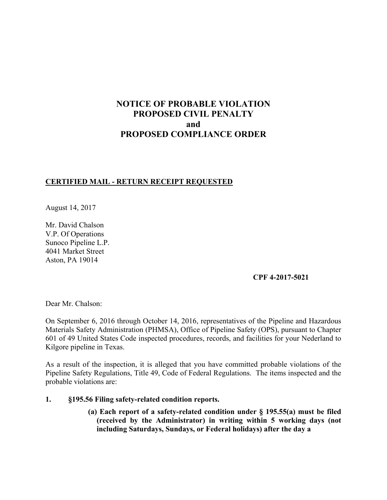# **NOTICE OF PROBABLE VIOLATION PROPOSED CIVIL PENALTY and PROPOSED COMPLIANCE ORDER**

# **CERTIFIED MAIL - RETURN RECEIPT REQUESTED**

August 14, 2017

Mr. David Chalson V.P. Of Operations Sunoco Pipeline L.P. 4041 Market Street Aston, PA 19014

#### **CPF 4-2017-5021**

Dear Mr. Chalson:

On September 6, 2016 through October 14, 2016, representatives of the Pipeline and Hazardous Materials Safety Administration (PHMSA), Office of Pipeline Safety (OPS), pursuant to Chapter 601 of 49 United States Code inspected procedures, records, and facilities for your Nederland to Kilgore pipeline in Texas.

As a result of the inspection, it is alleged that you have committed probable violations of the Pipeline Safety Regulations, Title 49, Code of Federal Regulations. The items inspected and the probable violations are:

- **1. §195.56 Filing safety-related condition reports.** 
	- **(a) Each report of a safety-related condition under § 195.55(a) must be filed (received by the Administrator) in writing within 5 working days (not including Saturdays, Sundays, or Federal holidays) after the day a**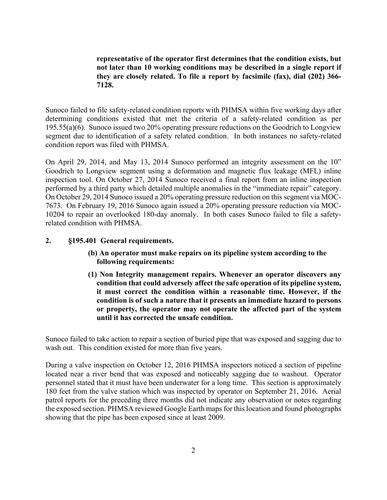**representative of the operator first determines that the condition exists, but not later than 10 working conditions may be described in a single report if they are closely related. To file a report by facsimile (fax), dial (202) 366- 7128.** 

Sunoco failed to file safety-related condition reports with PHMSA within five working days after determining conditions existed that met the criteria of a safety-related condition as per 195.55(a)(6). Sunoco issued two 20% operating pressure reductions on the Goodrich to Longview segment due to identification of a safety related condition. In both instances no safety-related condition report was filed with PHMSA.

On April 29, 2014, and May 13, 2014 Sunoco performed an integrity assessment on the 10" Goodrich to Longview segment using a deformation and magnetic flux leakage (MFL) inline inspection tool. On October 27, 2014 Sunoco received a final report from an inline inspection performed by a third party which detailed multiple anomalies in the "immediate repair" category. On October 29, 2014 Sunoco issued a 20% operating pressure reduction on this segment via MOC-7673. On February 19, 2016 Sunoco again issued a 20% operating pressure reduction via MOC-10204 to repair an overlooked 180-day anomaly. In both cases Sunoco failed to file a safetyrelated condition with PHMSA.

#### **2. §195.401 General requirements.**

- **(b) An operator must make repairs on its pipeline system according to the following requirements:**
- **(1) Non Integrity management repairs. Whenever an operator discovers any condition that could adversely affect the safe operation of its pipeline system, it must correct the condition within a reasonable time. However, if the condition is of such a nature that it presents an immediate hazard to persons or property, the operator may not operate the affected part of the system until it has corrected the unsafe condition.**

Sunoco failed to take action to repair a section of buried pipe that was exposed and sagging due to wash out. This condition existed for more than five years.

During a valve inspection on October 12, 2016 PHMSA inspectors noticed a section of pipeline located near a river bend that was exposed and noticeably sagging due to washout. Operator personnel stated that it must have been underwater for a long time. This section is approximately 180 feet from the valve station which was inspected by operator on September 21, 2016. Aerial patrol reports for the preceding three months did not indicate any observation or notes regarding the exposed section. PHMSA reviewed Google Earth maps for this location and found photographs showing that the pipe has been exposed since at least 2009.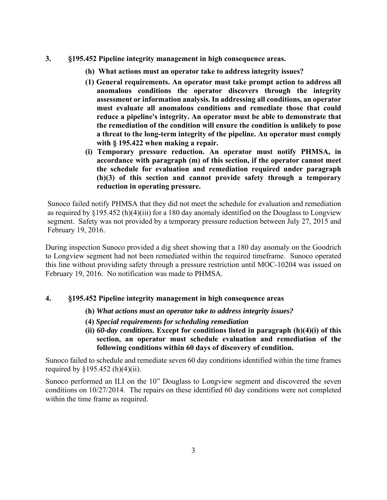- **3. §195.452 Pipeline integrity management in high consequence areas.** 
	- **(h) What actions must an operator take to address integrity issues?**
	- **(1) General requirements. An operator must take prompt action to address all anomalous conditions the operator discovers through the integrity assessment or information analysis. In addressing all conditions, an operator must evaluate all anomalous conditions and remediate those that could reduce a pipeline's integrity. An operator must be able to demonstrate that the remediation of the condition will ensure the condition is unlikely to pose a threat to the long-term integrity of the pipeline. An operator must comply with § 195.422 when making a repair.**
	- **(i) Temporary pressure reduction. An operator must notify PHMSA, in accordance with paragraph (m) of this section, if the operator cannot meet the schedule for evaluation and remediation required under paragraph (h)(3) of this section and cannot provide safety through a temporary reduction in operating pressure.**

Sunoco failed notify PHMSA that they did not meet the schedule for evaluation and remediation as required by §195.452 (h)(4)(iii) for a 180 day anomaly identified on the Douglass to Longview segment. Safety was not provided by a temporary pressure reduction between July 27, 2015 and February 19, 2016.

During inspection Sunoco provided a dig sheet showing that a 180 day anomaly on the Goodrich to Longview segment had not been remediated within the required timeframe. Sunoco operated this line without providing safety through a pressure restriction until MOC-10204 was issued on February 19, 2016. No notification was made to PHMSA.

# **4. §195.452 Pipeline integrity management in high consequence areas**

- **(h)** *What actions must an operator take to address integrity issues?*
- **(4)** *Special requirements for scheduling remediation*
- **(ii)** *60-day conditions.* **Except for conditions listed in paragraph (h)(4)(i) of this section, an operator must schedule evaluation and remediation of the following conditions within 60 days of discovery of condition.**

Sunoco failed to schedule and remediate seven 60 day conditions identified within the time frames required by  $$195.452(h)(4)(ii)$ .

Sunoco performed an ILI on the 10" Douglass to Longview segment and discovered the seven conditions on 10/27/2014. The repairs on these identified 60 day conditions were not completed within the time frame as required.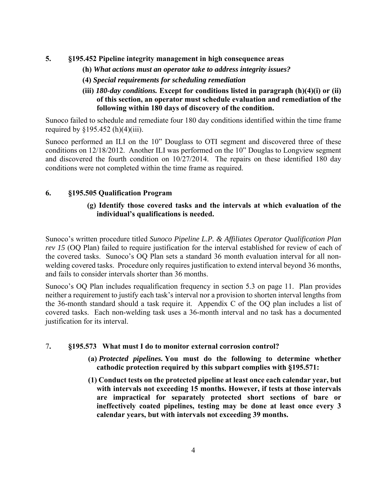- **5. §195.452 Pipeline integrity management in high consequence areas** 
	- **(h)** *What actions must an operator take to address integrity issues?*
	- **(4)** *Special requirements for scheduling remediation*
	- **(iii)** *180-day conditions.* **Except for conditions listed in paragraph (h)(4)(i) or (ii) of this section, an operator must schedule evaluation and remediation of the following within 180 days of discovery of the condition.**

Sunoco failed to schedule and remediate four 180 day conditions identified within the time frame required by  $$195.452$  (h)(4)(iii).

Sunoco performed an ILI on the 10" Douglass to OTI segment and discovered three of these conditions on 12/18/2012. Another ILI was performed on the 10" Douglas to Longview segment and discovered the fourth condition on 10/27/2014. The repairs on these identified 180 day conditions were not completed within the time frame as required.

# **6. §195.505 Qualification Program**

## **(g) Identify those covered tasks and the intervals at which evaluation of the individual's qualifications is needed.**

Sunoco's written procedure titled *Sunoco Pipeline L.P. & Affiliates Operator Qualification Plan rev 15* (OQ Plan) failed to require justification for the interval established for review of each of the covered tasks. Sunoco's OQ Plan sets a standard 36 month evaluation interval for all nonwelding covered tasks. Procedure only requires justification to extend interval beyond 36 months, and fails to consider intervals shorter than 36 months.

Sunoco's OQ Plan includes requalification frequency in section 5.3 on page 11. Plan provides neither a requirement to justify each task's interval nor a provision to shorten interval lengths from the 36-month standard should a task require it. Appendix C of the OQ plan includes a list of covered tasks. Each non-welding task uses a 36-month interval and no task has a documented justification for its interval.

#### 7**. §195.573 What must I do to monitor external corrosion control?**

- **(a)** *Protected pipelines.* **You must do the following to determine whether cathodic protection required by this subpart complies with §195.571:**
- **(1) Conduct tests on the protected pipeline at least once each calendar year, but with intervals not exceeding 15 months. However, if tests at those intervals are impractical for separately protected short sections of bare or ineffectively coated pipelines, testing may be done at least once every 3 calendar years, but with intervals not exceeding 39 months.**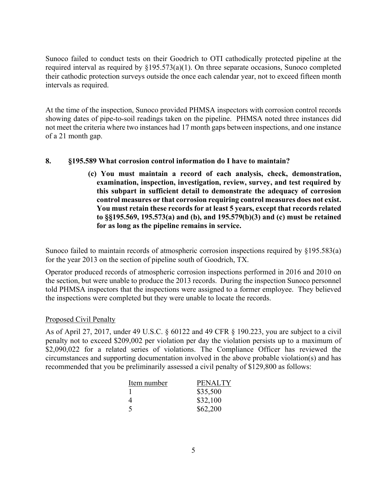Sunoco failed to conduct tests on their Goodrich to OTI cathodically protected pipeline at the required interval as required by §195.573(a)(1). On three separate occasions, Sunoco completed their cathodic protection surveys outside the once each calendar year, not to exceed fifteen month intervals as required.

At the time of the inspection, Sunoco provided PHMSA inspectors with corrosion control records showing dates of pipe-to-soil readings taken on the pipeline. PHMSA noted three instances did not meet the criteria where two instances had 17 month gaps between inspections, and one instance of a 21 month gap.

#### **8. §195.589 What corrosion control information do I have to maintain?**

**(c) You must maintain a record of each analysis, check, demonstration, examination, inspection, investigation, review, survey, and test required by this subpart in sufficient detail to demonstrate the adequacy of corrosion control measures or that corrosion requiring control measures does not exist. You must retain these records for at least 5 years, except that records related to §§195.569, 195.573(a) and (b), and 195.579(b)(3) and (c) must be retained for as long as the pipeline remains in service.** 

Sunoco failed to maintain records of atmospheric corrosion inspections required by §195.583(a) for the year 2013 on the section of pipeline south of Goodrich, TX.

Operator produced records of atmospheric corrosion inspections performed in 2016 and 2010 on the section, but were unable to produce the 2013 records. During the inspection Sunoco personnel told PHMSA inspectors that the inspections were assigned to a former employee. They believed the inspections were completed but they were unable to locate the records.

#### Proposed Civil Penalty

As of April 27, 2017, under 49 U.S.C. § 60122 and 49 CFR § 190.223, you are subject to a civil penalty not to exceed \$209,002 per violation per day the violation persists up to a maximum of \$2,090,022 for a related series of violations. The Compliance Officer has reviewed the circumstances and supporting documentation involved in the above probable violation(s) and has recommended that you be preliminarily assessed a civil penalty of \$129,800 as follows:

| Item number | <b>PENALTY</b> |
|-------------|----------------|
|             | \$35,500       |
| 4           | \$32,100       |
| $\sim$      | \$62,200       |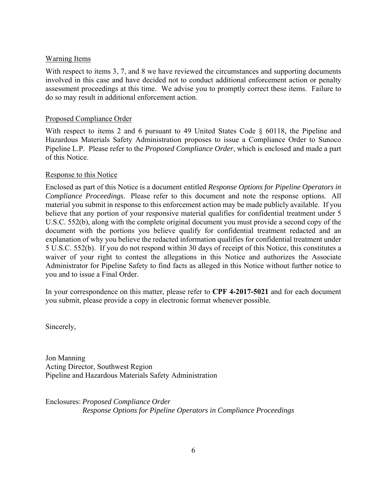#### Warning Items

With respect to items 3, 7, and 8 we have reviewed the circumstances and supporting documents involved in this case and have decided not to conduct additional enforcement action or penalty assessment proceedings at this time. We advise you to promptly correct these items. Failure to do so may result in additional enforcement action.

#### Proposed Compliance Order

With respect to items 2 and 6 pursuant to 49 United States Code § 60118, the Pipeline and Hazardous Materials Safety Administration proposes to issue a Compliance Order to Sunoco Pipeline L.P. Please refer to the *Proposed Compliance Order*, which is enclosed and made a part of this Notice.

#### Response to this Notice

Enclosed as part of this Notice is a document entitled *Response Options for Pipeline Operators in Compliance Proceedings*. Please refer to this document and note the response options. All material you submit in response to this enforcement action may be made publicly available. If you believe that any portion of your responsive material qualifies for confidential treatment under 5 U.S.C. 552(b), along with the complete original document you must provide a second copy of the document with the portions you believe qualify for confidential treatment redacted and an explanation of why you believe the redacted information qualifies for confidential treatment under 5 U.S.C. 552(b). If you do not respond within 30 days of receipt of this Notice, this constitutes a waiver of your right to contest the allegations in this Notice and authorizes the Associate Administrator for Pipeline Safety to find facts as alleged in this Notice without further notice to you and to issue a Final Order.

In your correspondence on this matter, please refer to **CPF 4-2017-5021** and for each document you submit, please provide a copy in electronic format whenever possible.

Sincerely,

Jon Manning Acting Director, Southwest Region Pipeline and Hazardous Materials Safety Administration

Enclosures: *Proposed Compliance Order Response Options for Pipeline Operators in Compliance Proceedings*